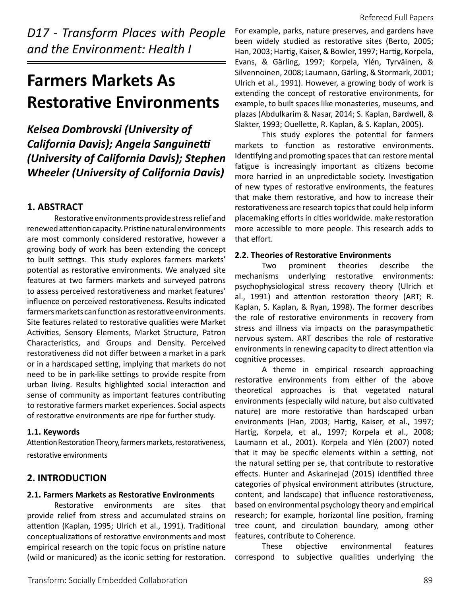*D17 - Transform Places with People and the Environment: Health I* 

# **Farmers Markets As Restorative Environments**

*Kelsea Dombrovski (University of California Davis); Angela Sanguinetti (University of California Davis); Stephen Wheeler (University of California Davis)* 

# **1. ABSTRACT**

Restorative environments provide stress relief and renewed attention capacity. Pristine natural environments are most commonly considered restorative, however a growing body of work has been extending the concept to built settings. This study explores farmers markets' potential as restorative environments. We analyzed site features at two farmers markets and surveyed patrons to assess perceived restorativeness and market features' influence on perceived restorativeness. Results indicated farmers markets can function as restorative environments. Site features related to restorative qualities were Market Activities, Sensory Elements, Market Structure, Patron Characteristics, and Groups and Density. Perceived restorativeness did not differ between a market in a park or in a hardscaped setting, implying that markets do not need to be in park-like settings to provide respite from urban living. Results highlighted social interaction and sense of community as important features contributing to restorative farmers market experiences. Social aspects of restorative environments are ripe for further study.

## **1.1. Keywords**

Attention Restoration Theory, farmers markets, restorativeness, restorative environments

# **2. INTRODUCTION**

## **2.1. Farmers Markets as Restorative Environments**

Restorative environments are sites that provide relief from stress and accumulated strains on attention (Kaplan, 1995; Ulrich et al., 1991). Traditional conceptualizations of restorative environments and most empirical research on the topic focus on pristine nature (wild or manicured) as the iconic setting for restoration.

For example, parks, nature preserves, and gardens have been widely studied as restorative sites (Berto, 2005; Han, 2003; Hartig, Kaiser, & Bowler, 1997; Hartig, Korpela, Evans, & Gärling, 1997; Korpela, Ylén, Tyrväinen, & Silvennoinen, 2008; Laumann, Gärling, & Stormark, 2001; Ulrich et al., 1991). However, a growing body of work is extending the concept of restorative environments, for example, to built spaces like monasteries, museums, and plazas (Abdulkarim & Nasar, 2014; S. Kaplan, Bardwell, & Slakter, 1993; Ouellette, R. Kaplan, & S. Kaplan, 2005).

This study explores the potential for farmers markets to function as restorative environments. Identifying and promoting spaces that can restore mental fatigue is increasingly important as citizens become more harried in an unpredictable society. Investigation of new types of restorative environments, the features that make them restorative, and how to increase their restorativeness are research topics that could help inform placemaking efforts in cities worldwide. make restoration more accessible to more people. This research adds to that effort.

## **2.2. Theories of Restorative Environments**

Two prominent theories describe the mechanisms underlying restorative environments: psychophysiological stress recovery theory (Ulrich et al., 1991) and attention restoration theory (ART; R. Kaplan, S. Kaplan, & Ryan, 1998). The former describes the role of restorative environments in recovery from stress and illness via impacts on the parasympathetic nervous system. ART describes the role of restorative environments in renewing capacity to direct attention via cognitive processes.

A theme in empirical research approaching restorative environments from either of the above theoretical approaches is that vegetated natural environments (especially wild nature, but also cultivated nature) are more restorative than hardscaped urban environments (Han, 2003; Hartig, Kaiser, et al., 1997; Hartig, Korpela, et al., 1997; Korpela et al., 2008; Laumann et al., 2001). Korpela and Ylén (2007) noted that it may be specific elements within a setting, not the natural setting per se, that contribute to restorative effects. Hunter and Askarinejad (2015) identified three categories of physical environment attributes (structure, content, and landscape) that influence restorativeness, based on environmental psychology theory and empirical research; for example, horizontal line position, framing tree count, and circulation boundary, among other features, contribute to Coherence.

These objective environmental features correspond to subjective qualities underlying the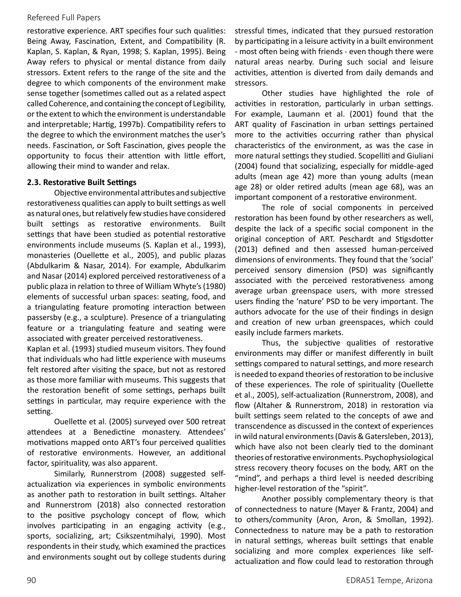restorative experience. ART specifies four such qualities: Being Away, Fascination, Extent, and Compatibility (R. Kaplan, S. Kaplan, & Ryan, 1998; S. Kaplan, 1995). Being Away refers to physical or mental distance from daily stressors. Extent refers to the range of the site and the degree to which components of the environment make sense together (sometimes called out as a related aspect called Coherence, and containing the concept of Legibility, or the extent to which the environment is understandable and interpretable; Hartig, 1997b). Compatibility refers to the degree to which the environment matches the user's needs. Fascination, or Soft Fascination, gives people the opportunity to focus their attention with little effort, allowing their mind to wander and relax.

#### **2.3. Restorative Built Settings**

Objective environmental attributes and subjective restorativeness qualities can apply to built settings as well as natural ones, but relatively few studies have considered built settings as restorative environments. Built settings that have been studied as potential restorative environments include museums (S. Kaplan et al., 1993), monasteries (Ouellette et al., 2005), and public plazas (Abdulkarim & Nasar, 2014). For example, Abdulkarim and Nasar (2014) explored perceived restorativeness of a public plaza in relation to three of William Whyte's (1980) elements of successful urban spaces: seating, food, and a triangulating feature promoting interaction between passersby (e.g., a sculpture). Presence of a triangulating feature or a triangulating feature and seating were associated with greater perceived restorativeness.

Kaplan et al. (1993) studied museum visitors. They found that individuals who had little experience with museums felt restored after visiting the space, but not as restored as those more familiar with museums. This suggests that the restoration benefit of some settings, perhaps built settings in particular, may require experience with the setting.

Ouellette et al. (2005) surveyed over 500 retreat attendees at a Benedictine monastery. Attendees' motivations mapped onto ART's four perceived qualities of restorative environments. However, an additional factor, spirituality, was also apparent.

Similarly, Runnerstrom (2008) suggested selfactualization via experiences in symbolic environments as another path to restoration in built settings. Altaher and Runnerstrom (2018) also connected restoration to the positive psychology concept of flow, which involves participating in an engaging activity (e.g., sports, socializing, art; Csikszentmihalyi, 1990). Most respondents in their study, which examined the practices and environments sought out by college students during stressful times, indicated that they pursued restoration by participating in a leisure activity in a built environment - most often being with friends - even though there were natural areas nearby. During such social and leisure activities, attention is diverted from daily demands and stressors.

Other studies have highlighted the role of activities in restoration, particularly in urban settings. For example, Laumann et al. (2001) found that the ART quality of Fascination in urban settings pertained more to the activities occurring rather than physical characteristics of the environment, as was the case in more natural settings they studied. Scopelliti and Giuliani (2004) found that socializing, especially for middle-aged adults (mean age 42) more than young adults (mean age 28) or older retired adults (mean age 68), was an important component of a restorative environment.

The role of social components in perceived restoration has been found by other researchers as well, despite the lack of a specific social component in the original conception of ART. Peschardt and Stigsdotter (2013) defined and then assessed human-perceived dimensions of environments. They found that the 'social' perceived sensory dimension (PSD) was significantly associated with the perceived restorativeness among average urban greenspace users, with more stressed users finding the 'nature' PSD to be very important. The authors advocate for the use of their findings in design and creation of new urban greenspaces, which could easily include farmers markets.

Thus, the subjective qualities of restorative environments may differ or manifest differently in built settings compared to natural settings, and more research is needed to expand theories of restoration to be inclusive of these experiences. The role of spirituality (Ouellette et al., 2005), self-actualization (Runnerstrom, 2008), and flow (Altaher & Runnerstrom, 2018) in restoration via built settings seem related to the concepts of awe and transcendence as discussed in the context of experiences in wild natural environments (Davis & Gatersleben, 2013), which have also not been clearly tied to the dominant theories of restorative environments. Psychophysiological stress recovery theory focuses on the body, ART on the "mind", and perhaps a third level is needed describing higher-level restoration of the "spirit".

Another possibly complementary theory is that of connectedness to nature (Mayer & Frantz, 2004) and to others/community (Aron, Aron, & Smollan, 1992). Connectedness to nature may be a path to restoration in natural settings, whereas built settings that enable socializing and more complex experiences like selfactualization and flow could lead to restoration through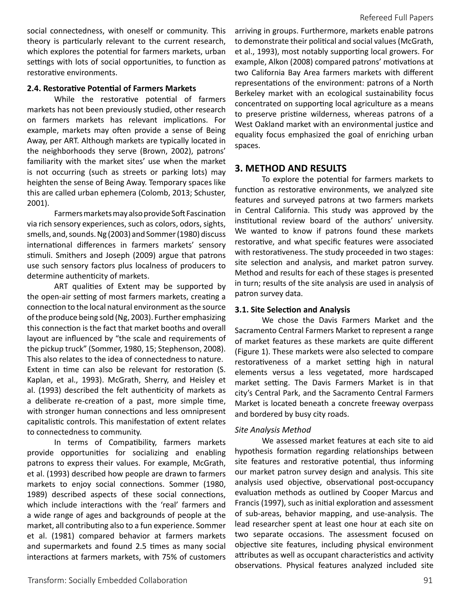social connectedness, with oneself or community. This theory is particularly relevant to the current research, which explores the potential for farmers markets, urban settings with lots of social opportunities, to function as restorative environments.

#### **2.4. Restorative Potential of Farmers Markets**

While the restorative potential of farmers markets has not been previously studied, other research on farmers markets has relevant implications. For example, markets may often provide a sense of Being Away, per ART. Although markets are typically located in the neighborhoods they serve (Brown, 2002), patrons' familiarity with the market sites' use when the market is not occurring (such as streets or parking lots) may heighten the sense of Being Away. Temporary spaces like this are called urban ephemera (Colomb, 2013; Schuster, 2001).

Farmers markets may also provide Soft Fascination via rich sensory experiences, such as colors, odors, sights, smells, and, sounds. Ng (2003) and Sommer (1980) discuss international differences in farmers markets' sensory stimuli. Smithers and Joseph (2009) argue that patrons use such sensory factors plus localness of producers to determine authenticity of markets.

ART qualities of Extent may be supported by the open-air setting of most farmers markets, creating a connection to the local natural environment as the source of the produce being sold (Ng, 2003). Further emphasizing this connection is the fact that market booths and overall layout are influenced by "the scale and requirements of the pickup truck" (Sommer, 1980, 15; Stephenson, 2008). This also relates to the idea of connectedness to nature. Extent in time can also be relevant for restoration (S. Kaplan, et al., 1993). McGrath, Sherry, and Heisley et al. (1993) described the felt authenticity of markets as a deliberate re-creation of a past, more simple time, with stronger human connections and less omnipresent capitalistic controls. This manifestation of extent relates to connectedness to community.

In terms of Compatibility, farmers markets provide opportunities for socializing and enabling patrons to express their values. For example, McGrath, et al. (1993) described how people are drawn to farmers markets to enjoy social connections. Sommer (1980, 1989) described aspects of these social connections, which include interactions with the 'real' farmers and a wide range of ages and backgrounds of people at the market, all contributing also to a fun experience. Sommer et al. (1981) compared behavior at farmers markets and supermarkets and found 2.5 times as many social interactions at farmers markets, with 75% of customers arriving in groups. Furthermore, markets enable patrons to demonstrate their political and social values (McGrath, et al., 1993), most notably supporting local growers. For example, Alkon (2008) compared patrons' motivations at two California Bay Area farmers markets with different representations of the environment: patrons of a North Berkeley market with an ecological sustainability focus concentrated on supporting local agriculture as a means to preserve pristine wilderness, whereas patrons of a West Oakland market with an environmental justice and equality focus emphasized the goal of enriching urban spaces.

## **3. METHOD AND RESULTS**

To explore the potential for farmers markets to function as restorative environments, we analyzed site features and surveyed patrons at two farmers markets in Central California. This study was approved by the institutional review board of the authors' university. We wanted to know if patrons found these markets restorative, and what specific features were associated with restorativeness. The study proceeded in two stages: site selection and analysis, and market patron survey. Method and results for each of these stages is presented in turn; results of the site analysis are used in analysis of patron survey data.

#### **3.1. Site Selection and Analysis**

We chose the Davis Farmers Market and the Sacramento Central Farmers Market to represent a range of market features as these markets are quite different (Figure 1). These markets were also selected to compare restorativeness of a market setting high in natural elements versus a less vegetated, more hardscaped market setting. The Davis Farmers Market is in that city's Central Park, and the Sacramento Central Farmers Market is located beneath a concrete freeway overpass and bordered by busy city roads.

#### *Site Analysis Method*

We assessed market features at each site to aid hypothesis formation regarding relationships between site features and restorative potential, thus informing our market patron survey design and analysis. This site analysis used objective, observational post-occupancy evaluation methods as outlined by Cooper Marcus and Francis (1997), such as initial exploration and assessment of sub-areas, behavior mapping, and use-analysis. The lead researcher spent at least one hour at each site on two separate occasions. The assessment focused on objective site features, including physical environment attributes as well as occupant characteristics and activity observations. Physical features analyzed included site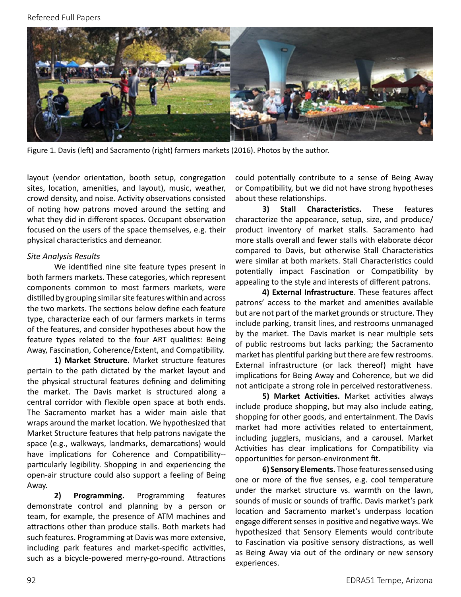

Figure 1. Davis (left) and Sacramento (right) farmers markets (2016). Photos by the author.

layout (vendor orientation, booth setup, congregation sites, location, amenities, and layout), music, weather, crowd density, and noise. Activity observations consisted of noting how patrons moved around the setting and what they did in different spaces. Occupant observation focused on the users of the space themselves, e.g. their physical characteristics and demeanor.

#### *Site Analysis Results*

We identified nine site feature types present in both farmers markets. These categories, which represent components common to most farmers markets, were distilled by grouping similar site features within and across the two markets. The sections below define each feature type, characterize each of our farmers markets in terms of the features, and consider hypotheses about how the feature types related to the four ART qualities: Being Away, Fascination, Coherence/Extent, and Compatibility.

**1) Market Structure.** Market structure features pertain to the path dictated by the market layout and the physical structural features defining and delimiting the market. The Davis market is structured along a central corridor with flexible open space at both ends. The Sacramento market has a wider main aisle that wraps around the market location. We hypothesized that Market Structure features that help patrons navigate the space (e.g., walkways, landmarks, demarcations) would have implications for Coherence and Compatibility- particularly legibility. Shopping in and experiencing the open-air structure could also support a feeling of Being Away.

**2) Programming.** Programming features demonstrate control and planning by a person or team, for example, the presence of ATM machines and attractions other than produce stalls. Both markets had such features. Programming at Davis was more extensive, including park features and market-specific activities, such as a bicycle-powered merry-go-round. Attractions could potentially contribute to a sense of Being Away or Compatibility, but we did not have strong hypotheses about these relationships.

**3) Stall Characteristics.** These features characterize the appearance, setup, size, and produce/ product inventory of market stalls. Sacramento had more stalls overall and fewer stalls with elaborate décor compared to Davis, but otherwise Stall Characteristics were similar at both markets. Stall Characteristics could potentially impact Fascination or Compatibility by appealing to the style and interests of different patrons.

**4) External Infrastructure**. These features affect patrons' access to the market and amenities available but are not part of the market grounds or structure. They include parking, transit lines, and restrooms unmanaged by the market. The Davis market is near multiple sets of public restrooms but lacks parking; the Sacramento market has plentiful parking but there are few restrooms. External infrastructure (or lack thereof) might have implications for Being Away and Coherence, but we did not anticipate a strong role in perceived restorativeness.

**5) Market Activities.** Market activities always include produce shopping, but may also include eating, shopping for other goods, and entertainment. The Davis market had more activities related to entertainment, including jugglers, musicians, and a carousel. Market Activities has clear implications for Compatibility via opportunities for person-environment fit.

**6) Sensory Elements.** Those features sensed using one or more of the five senses, e.g. cool temperature under the market structure vs. warmth on the lawn, sounds of music or sounds of traffic. Davis market's park location and Sacramento market's underpass location engage different senses in positive and negative ways. We hypothesized that Sensory Elements would contribute to Fascination via positive sensory distractions, as well as Being Away via out of the ordinary or new sensory experiences.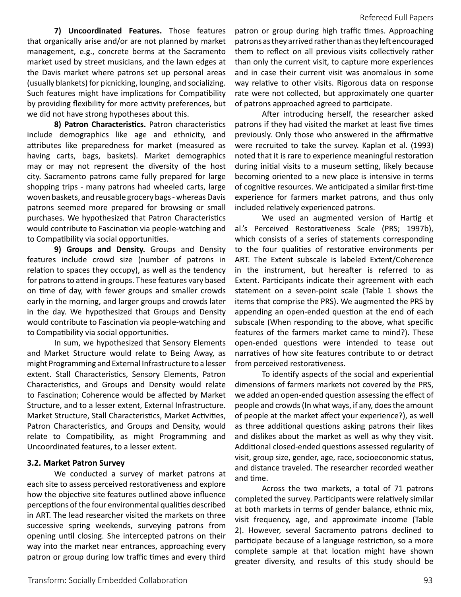**7) Uncoordinated Features.** Those features that organically arise and/or are not planned by market management, e.g., concrete berms at the Sacramento market used by street musicians, and the lawn edges at the Davis market where patrons set up personal areas (usually blankets) for picnicking, lounging, and socializing. Such features might have implications for Compatibility by providing flexibility for more activity preferences, but we did not have strong hypotheses about this.

**8) Patron Characteristics.** Patron characteristics include demographics like age and ethnicity, and attributes like preparedness for market (measured as having carts, bags, baskets). Market demographics may or may not represent the diversity of the host city. Sacramento patrons came fully prepared for large shopping trips - many patrons had wheeled carts, large woven baskets, and reusable grocery bags - whereas Davis patrons seemed more prepared for browsing or small purchases. We hypothesized that Patron Characteristics would contribute to Fascination via people-watching and to Compatibility via social opportunities.

**9) Groups and Density.** Groups and Density features include crowd size (number of patrons in relation to spaces they occupy), as well as the tendency for patrons to attend in groups. These features vary based on time of day, with fewer groups and smaller crowds early in the morning, and larger groups and crowds later in the day. We hypothesized that Groups and Density would contribute to Fascination via people-watching and to Compatibility via social opportunities.

In sum, we hypothesized that Sensory Elements and Market Structure would relate to Being Away, as might Programming and External Infrastructure to a lesser extent. Stall Characteristics, Sensory Elements, Patron Characteristics, and Groups and Density would relate to Fascination; Coherence would be affected by Market Structure, and to a lesser extent, External Infrastructure. Market Structure, Stall Characteristics, Market Activities, Patron Characteristics, and Groups and Density, would relate to Compatibility, as might Programming and Uncoordinated features, to a lesser extent.

#### **3.2. Market Patron Survey**

We conducted a survey of market patrons at each site to assess perceived restorativeness and explore how the objective site features outlined above influence perceptions of the four environmental qualities described in ART. The lead researcher visited the markets on three successive spring weekends, surveying patrons from opening until closing. She intercepted patrons on their way into the market near entrances, approaching every patron or group during low traffic times and every third

patron or group during high traffic times. Approaching patrons as they arrived rather than as they left encouraged them to reflect on all previous visits collectively rather than only the current visit, to capture more experiences and in case their current visit was anomalous in some way relative to other visits. Rigorous data on response rate were not collected, but approximately one quarter of patrons approached agreed to participate.

After introducing herself, the researcher asked patrons if they had visited the market at least five times previously. Only those who answered in the affirmative were recruited to take the survey. Kaplan et al. (1993) noted that it is rare to experience meaningful restoration during initial visits to a museum setting, likely because becoming oriented to a new place is intensive in terms of cognitive resources. We anticipated a similar first-time experience for farmers market patrons, and thus only included relatively experienced patrons.

We used an augmented version of Hartig et al.'s Perceived Restorativeness Scale (PRS; 1997b), which consists of a series of statements corresponding to the four qualities of restorative environments per ART. The Extent subscale is labeled Extent/Coherence in the instrument, but hereafter is referred to as Extent. Participants indicate their agreement with each statement on a seven-point scale (Table 1 shows the items that comprise the PRS). We augmented the PRS by appending an open-ended question at the end of each subscale (When responding to the above, what specific features of the farmers market came to mind?). These open-ended questions were intended to tease out narratives of how site features contribute to or detract from perceived restorativeness.

To identify aspects of the social and experiential dimensions of farmers markets not covered by the PRS, we added an open-ended question assessing the effect of people and crowds (In what ways, if any, does the amount of people at the market affect your experience?), as well as three additional questions asking patrons their likes and dislikes about the market as well as why they visit. Additional closed-ended questions assessed regularity of visit, group size, gender, age, race, socioeconomic status, and distance traveled. The researcher recorded weather and time.

Across the two markets, a total of 71 patrons completed the survey. Participants were relatively similar at both markets in terms of gender balance, ethnic mix, visit frequency, age, and approximate income (Table 2). However, several Sacramento patrons declined to participate because of a language restriction, so a more complete sample at that location might have shown greater diversity, and results of this study should be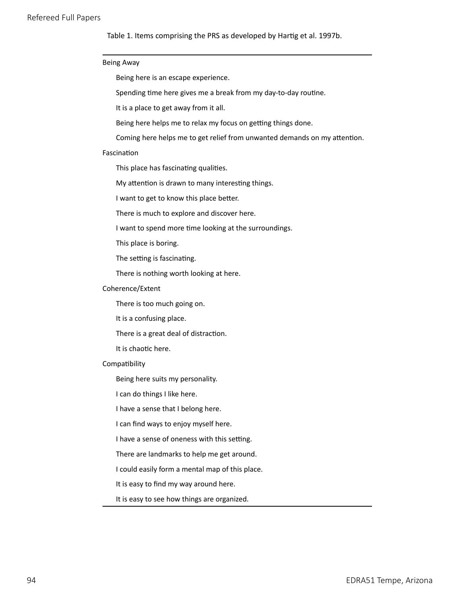Table 1. Items comprising the PRS as developed by Hartig et al. 1997b.

| <b>Being Away</b>                            |                                                                           |
|----------------------------------------------|---------------------------------------------------------------------------|
| Being here is an escape experience.          |                                                                           |
|                                              | Spending time here gives me a break from my day-to-day routine.           |
| It is a place to get away from it all.       |                                                                           |
|                                              | Being here helps me to relax my focus on getting things done.             |
|                                              | Coming here helps me to get relief from unwanted demands on my attention. |
| Fascination                                  |                                                                           |
| This place has fascinating qualities.        |                                                                           |
|                                              | My attention is drawn to many interesting things.                         |
| I want to get to know this place better.     |                                                                           |
|                                              | There is much to explore and discover here.                               |
|                                              | I want to spend more time looking at the surroundings.                    |
| This place is boring.                        |                                                                           |
| The setting is fascinating.                  |                                                                           |
| There is nothing worth looking at here.      |                                                                           |
| Coherence/Extent                             |                                                                           |
| There is too much going on.                  |                                                                           |
| It is a confusing place.                     |                                                                           |
| There is a great deal of distraction.        |                                                                           |
| It is chaotic here.                          |                                                                           |
| Compatibility                                |                                                                           |
| Being here suits my personality.             |                                                                           |
| I can do things I like here.                 |                                                                           |
| I have a sense that I belong here.           |                                                                           |
| I can find ways to enjoy myself here.        |                                                                           |
| I have a sense of oneness with this setting. |                                                                           |
|                                              | There are landmarks to help me get around.                                |
|                                              | I could easily form a mental map of this place.                           |
| It is easy to find my way around here.       |                                                                           |
| It is easy to see how things are organized.  |                                                                           |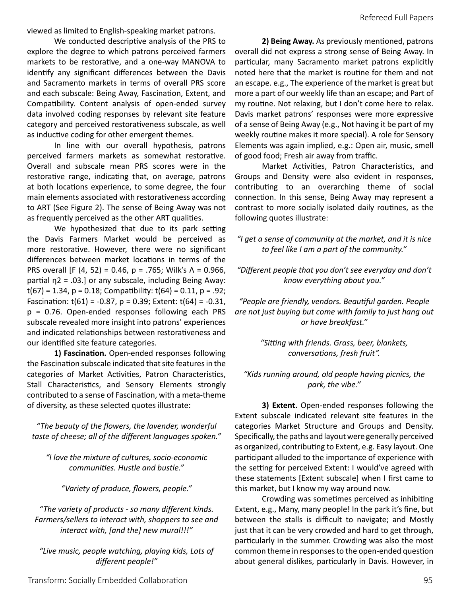viewed as limited to English-speaking market patrons.

We conducted descriptive analysis of the PRS to explore the degree to which patrons perceived farmers markets to be restorative, and a one-way MANOVA to identify any significant differences between the Davis and Sacramento markets in terms of overall PRS score and each subscale: Being Away, Fascination, Extent, and Compatibility. Content analysis of open-ended survey data involved coding responses by relevant site feature category and perceived restorativeness subscale, as well as inductive coding for other emergent themes.

In line with our overall hypothesis, patrons perceived farmers markets as somewhat restorative. Overall and subscale mean PRS scores were in the restorative range, indicating that, on average, patrons at both locations experience, to some degree, the four main elements associated with restorativeness according to ART (See Figure 2). The sense of Being Away was not as frequently perceived as the other ART qualities.

We hypothesized that due to its park setting the Davis Farmers Market would be perceived as more restorative. However, there were no significant differences between market locations in terms of the PRS overall [F (4, 52) = 0.46, p = .765; Wilk's  $Λ = 0.966$ , partial η2 = .03.] or any subscale, including Being Away:  $t(67) = 1.34$ ,  $p = 0.18$ ; Compatibility:  $t(64) = 0.11$ ,  $p = .92$ ; Fascination:  $t(61) = -0.87$ ,  $p = 0.39$ ; Extent:  $t(64) = -0.31$ , p = 0.76. Open-ended responses following each PRS subscale revealed more insight into patrons' experiences and indicated relationships between restorativeness and our identified site feature categories.

**1) Fascination.** Open-ended responses following the Fascination subscale indicated that site features in the categories of Market Activities, Patron Characteristics, Stall Characteristics, and Sensory Elements strongly contributed to a sense of Fascination, with a meta-theme of diversity, as these selected quotes illustrate:

*"The beauty of the flowers, the lavender, wonderful taste of cheese; all of the different languages spoken."*

*"I love the mixture of cultures, socio-economic communities. Hustle and bustle."*

*"Variety of produce, flowers, people."*

*"The variety of products - so many different kinds. Farmers/sellers to interact with, shoppers to see and interact with, [and the] new mural!!!"* 

*"Live music, people watching, playing kids, Lots of different people!"* 

**2) Being Away.** As previously mentioned, patrons overall did not express a strong sense of Being Away. In particular, many Sacramento market patrons explicitly noted here that the market is routine for them and not an escape. e.g., The experience of the market is great but more a part of our weekly life than an escape; and Part of my routine. Not relaxing, but I don't come here to relax. Davis market patrons' responses were more expressive of a sense of Being Away (e.g., Not having it be part of my weekly routine makes it more special). A role for Sensory Elements was again implied, e.g.: Open air, music, smell of good food; Fresh air away from traffic.

Market Activities, Patron Characteristics, and Groups and Density were also evident in responses, contributing to an overarching theme of social connection. In this sense, Being Away may represent a contrast to more socially isolated daily routines, as the following quotes illustrate:

*"I get a sense of community at the market, and it is nice to feel like I am a part of the community."*

*"Different people that you don't see everyday and don't know everything about you."*

*"People are friendly, vendors. Beautiful garden. People are not just buying but come with family to just hang out or have breakfast."*

> *"Sitting with friends. Grass, beer, blankets, conversations, fresh fruit".*

*"Kids running around, old people having picnics, the park, the vibe."* 

**3) Extent.** Open-ended responses following the Extent subscale indicated relevant site features in the categories Market Structure and Groups and Density. Specifically, the paths and layout were generally perceived as organized, contributing to Extent, e.g. Easy layout. One participant alluded to the importance of experience with the setting for perceived Extent: I would've agreed with these statements [Extent subscale] when I first came to this market, but I know my way around now.

Crowding was sometimes perceived as inhibiting Extent, e.g., Many, many people! In the park it's fine, but between the stalls is difficult to navigate; and Mostly just that it can be very crowded and hard to get through, particularly in the summer. Crowding was also the most common theme in responses to the open-ended question about general dislikes, particularly in Davis. However, in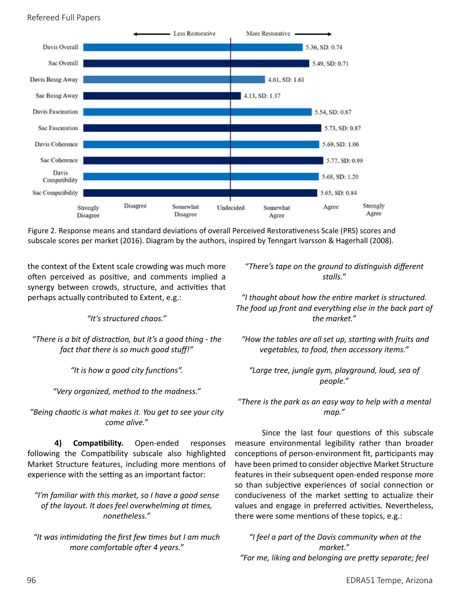

Figure 2. Response means and standard deviations of overall Perceived Restorativeness Scale (PRS) scores and subscale scores per market (2016). Diagram by the authors, inspired by Tenngart Ivarsson & Hagerhall (2008).

the context of the Extent scale crowding was much more often perceived as positive, and comments implied a synergy between crowds, structure, and activities that perhaps actually contributed to Extent, e.g.:

*"It's structured chaos."*

*"There is a bit of distraction, but it's a good thing - the fact that there is so much good stuff!"* 

*"It is how a good city functions".*

*"Very organized, method to the madness."*

*"Being chaotic is what makes it. You get to see your city come alive."* 

**4) Compatibility.** Open-ended responses following the Compatibility subscale also highlighted Market Structure features, including more mentions of experience with the setting as an important factor:

*"I'm familiar with this market, so I have a good sense of the layout. It does feel overwhelming at times, nonetheless."* 

*"It was intimidating the first few times but I am much more comfortable after 4 years."*

*"There's tape on the ground to distinguish different stalls."* 

*"I thought about how the entire market is structured. The food up front and everything else in the back part of the market."*

 *"How the tables are all set up, starting with fruits and vegetables, to food, then accessory items."*

*"Large tree, jungle gym, playground, loud, sea of people."*

*"There is the park as an easy way to help with a mental map."* 

Since the last four questions of this subscale measure environmental legibility rather than broader conceptions of person-environment fit, participants may have been primed to consider objective Market Structure features in their subsequent open-ended response more so than subjective experiences of social connection or conduciveness of the market setting to actualize their values and engage in preferred activities. Nevertheless, there were some mentions of these topics, e.g.:

 *"I feel a part of the Davis community when at the market." "For me, liking and belonging are pretty separate; feel*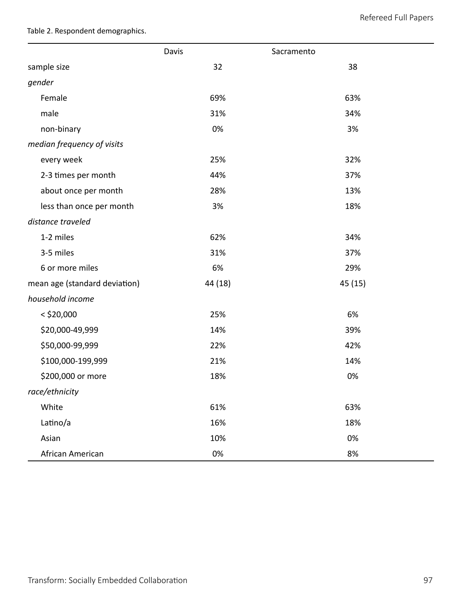Table 2. Respondent demographics.

|                               | Davis   | Sacramento |
|-------------------------------|---------|------------|
| sample size                   | 32      | 38         |
| gender                        |         |            |
| Female                        | 69%     | 63%        |
| male                          | 31%     | 34%        |
| non-binary                    | 0%      | 3%         |
| median frequency of visits    |         |            |
| every week                    | 25%     | 32%        |
| 2-3 times per month           | 44%     | 37%        |
| about once per month          | 28%     | 13%        |
| less than once per month      | 3%      | 18%        |
| distance traveled             |         |            |
| 1-2 miles                     | 62%     | 34%        |
| 3-5 miles                     | 31%     | 37%        |
| 6 or more miles               | 6%      | 29%        |
| mean age (standard deviation) | 44 (18) | 45 (15)    |
| household income              |         |            |
| $<$ \$20,000                  | 25%     | 6%         |
| \$20,000-49,999               | 14%     | 39%        |
| \$50,000-99,999               | 22%     | 42%        |
| \$100,000-199,999             | 21%     | 14%        |
| \$200,000 or more             | 18%     | 0%         |
| race/ethnicity                |         |            |
| White                         | 61%     | 63%        |
| Latino/a                      | 16%     | 18%        |
| Asian                         | 10%     | 0%         |
| African American              | 0%      | 8%         |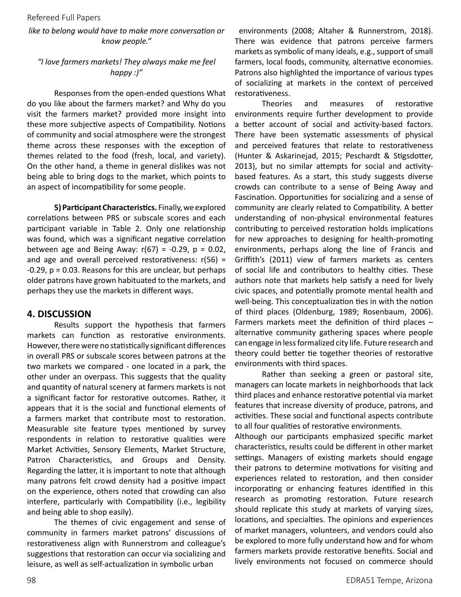#### *like to belong would have to make more conversation or know people."*

## *"I love farmers markets! They always make me feel happy :)"*

Responses from the open-ended questions What do you like about the farmers market? and Why do you visit the farmers market? provided more insight into these more subjective aspects of Compatibility. Notions of community and social atmosphere were the strongest theme across these responses with the exception of themes related to the food (fresh, local, and variety). On the other hand, a theme in general dislikes was not being able to bring dogs to the market, which points to an aspect of incompatibility for some people.

**5) Participant Characteristics.** Finally, we explored correlations between PRS or subscale scores and each participant variable in Table 2. Only one relationship was found, which was a significant negative correlation between age and Being Away:  $r(67) = -0.29$ ,  $p = 0.02$ , and age and overall perceived restorativeness:  $r(56)$  = -0.29, p = 0.03. Reasons for this are unclear, but perhaps older patrons have grown habituated to the markets, and perhaps they use the markets in different ways.

# **4. DISCUSSION**

Results support the hypothesis that farmers markets can function as restorative environments. However, there were no statistically significant differences in overall PRS or subscale scores between patrons at the two markets we compared - one located in a park, the other under an overpass. This suggests that the quality and quantity of natural scenery at farmers markets is not a significant factor for restorative outcomes. Rather, it appears that it is the social and functional elements of a farmers market that contribute most to restoration. Measurable site feature types mentioned by survey respondents in relation to restorative qualities were Market Activities, Sensory Elements, Market Structure, Patron Characteristics, and Groups and Density. Regarding the latter, it is important to note that although many patrons felt crowd density had a positive impact on the experience, others noted that crowding can also interfere, particularly with Compatibility (i.e., legibility and being able to shop easily).

The themes of civic engagement and sense of community in farmers market patrons' discussions of restorativeness align with Runnerstrom and colleague's suggestions that restoration can occur via socializing and leisure, as well as self-actualization in symbolic urban

 environments (2008; Altaher & Runnerstrom, 2018). There was evidence that patrons perceive farmers markets as symbolic of many ideals, e.g., support of small farmers, local foods, community, alternative economies. Patrons also highlighted the importance of various types of socializing at markets in the context of perceived restorativeness.

Theories and measures of restorative environments require further development to provide a better account of social and activity-based factors. There have been systematic assessments of physical and perceived features that relate to restorativeness (Hunter & Askarinejad, 2015; Peschardt & Stigsdotter, 2013), but no similar attempts for social and activitybased features. As a start, this study suggests diverse crowds can contribute to a sense of Being Away and Fascination. Opportunities for socializing and a sense of community are clearly related to Compatibility. A better understanding of non-physical environmental features contributing to perceived restoration holds implications for new approaches to designing for health-promoting environments, perhaps along the line of Francis and Griffith's (2011) view of farmers markets as centers of social life and contributors to healthy cities. These authors note that markets help satisfy a need for lively civic spaces, and potentially promote mental health and well-being. This conceptualization ties in with the notion of third places (Oldenburg, 1989; Rosenbaum, 2006). Farmers markets meet the definition of third places – alternative community gathering spaces where people can engage in less formalized city life. Future research and theory could better tie together theories of restorative environments with third spaces.

Rather than seeking a green or pastoral site, managers can locate markets in neighborhoods that lack third places and enhance restorative potential via market features that increase diversity of produce, patrons, and activities. These social and functional aspects contribute to all four qualities of restorative environments.

Although our participants emphasized specific market characteristics, results could be different in other market settings. Managers of existing markets should engage their patrons to determine motivations for visiting and experiences related to restoration, and then consider incorporating or enhancing features identified in this research as promoting restoration. Future research should replicate this study at markets of varying sizes, locations, and specialties. The opinions and experiences of market managers, volunteers, and vendors could also be explored to more fully understand how and for whom farmers markets provide restorative benefits. Social and lively environments not focused on commerce should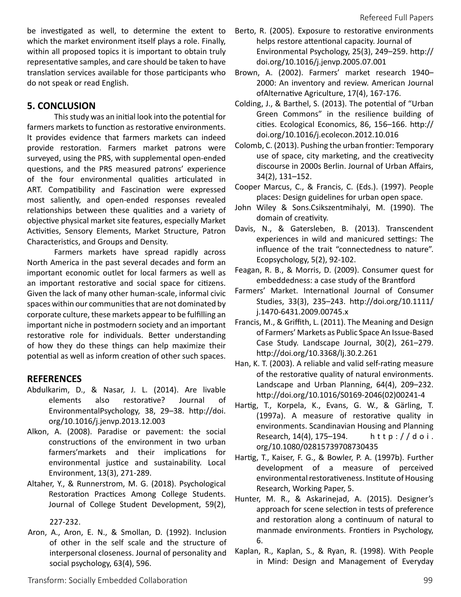be investigated as well, to determine the extent to which the market environment itself plays a role. Finally, within all proposed topics it is important to obtain truly representative samples, and care should be taken to have translation services available for those participants who do not speak or read English.

# **5. CONCLUSION**

This study was an initial look into the potential for farmers markets to function as restorative environments. It provides evidence that farmers markets can indeed provide restoration. Farmers market patrons were surveyed, using the PRS, with supplemental open-ended questions, and the PRS measured patrons' experience of the four environmental qualities articulated in ART. Compatibility and Fascination were expressed most saliently, and open-ended responses revealed relationships between these qualities and a variety of objective physical market site features, especially Market Activities, Sensory Elements, Market Structure, Patron Characteristics, and Groups and Density.

Farmers markets have spread rapidly across North America in the past several decades and form an important economic outlet for local farmers as well as an important restorative and social space for citizens. Given the lack of many other human-scale, informal civic spaces within our communities that are not dominated by corporate culture, these markets appear to be fulfilling an important niche in postmodern society and an important restorative role for individuals. Better understanding of how they do these things can help maximize their potential as well as inform creation of other such spaces.

# **REFERENCES**

- Abdulkarim, D., & Nasar, J. L. (2014). Are livable elements also restorative? Journal of EnvironmentalPsychology, 38, 29–38. http://doi. org/10.1016/j.jenvp.2013.12.003
- Alkon, A. (2008). Paradise or pavement: the social constructions of the environment in two urban farmers'markets and their implications for environmental justice and sustainability. Local Environment, 13(3), 271-289.
- Altaher, Y., & Runnerstrom, M. G. (2018). Psychological Restoration Practices Among College Students. Journal of College Student Development, 59(2),

## 227-232.

Aron, A., Aron, E. N., & Smollan, D. (1992). Inclusion of other in the self scale and the structure of interpersonal closeness. Journal of personality and social psychology, 63(4), 596.

- Berto, R. (2005). Exposure to restorative environments helps restore attentional capacity. Journal of Environmental Psychology, 25(3), 249–259. http:// doi.org/10.1016/j.jenvp.2005.07.001
- Brown, A. (2002). Farmers' market research 1940– 2000: An inventory and review. American Journal ofAlternative Agriculture, 17(4), 167-176.
- Colding, J., & Barthel, S. (2013). The potential of "Urban Green Commons" in the resilience building of cities. Ecological Economics, 86, 156–166. http:// doi.org/10.1016/j.ecolecon.2012.10.016
- Colomb, C. (2013). Pushing the urban frontier: Temporary use of space, city marketing, and the creativecity discourse in 2000s Berlin. Journal of Urban Affairs, 34(2), 131–152.
- Cooper Marcus, C., & Francis, C. (Eds.). (1997). People places: Design guidelines for urban open space.
- John Wiley & Sons.Csikszentmihalyi, M. (1990). The domain of creativity.
- Davis, N., & Gatersleben, B. (2013). Transcendent experiences in wild and manicured settings: The influence of the trait "connectedness to nature". Ecopsychology, 5(2), 92-102.
- Feagan, R. B., & Morris, D. (2009). Consumer quest for embeddedness: a case study of the Brantford
- Farmers' Market. International Journal of Consumer Studies, 33(3), 235–243. http://doi.org/10.1111/ j.1470-6431.2009.00745.x
- Francis, M., & Griffith, L. (2011). The Meaning and Design of Farmers' Markets as Public Space An Issue-Based Case Study. Landscape Journal, 30(2), 261–279. http://doi.org/10.3368/lj.30.2.261
- Han, K. T. (2003). A reliable and valid self-rating measure of the restorative quality of natural environments. Landscape and Urban Planning, 64(4), 209–232. http://doi.org/10.1016/S0169-2046(02)00241-4
- Hartig, T., Korpela, K., Evans, G. W., & Gärling, T. (1997a). A measure of restorative quality in environments. Scandinavian Housing and Planning Research, 14(4), 175–194. http://doi. org/10.1080/02815739708730435
- Hartig, T., Kaiser, F. G., & Bowler, P. A. (1997b). Further development of a measure of perceived environmental restorativeness. Institute of Housing Research, Working Paper, 5.
- Hunter, M. R., & Askarinejad, A. (2015). Designer's approach for scene selection in tests of preference and restoration along a continuum of natural to manmade environments. Frontiers in Psychology, 6.
- Kaplan, R., Kaplan, S., & Ryan, R. (1998). With People in Mind: Design and Management of Everyday